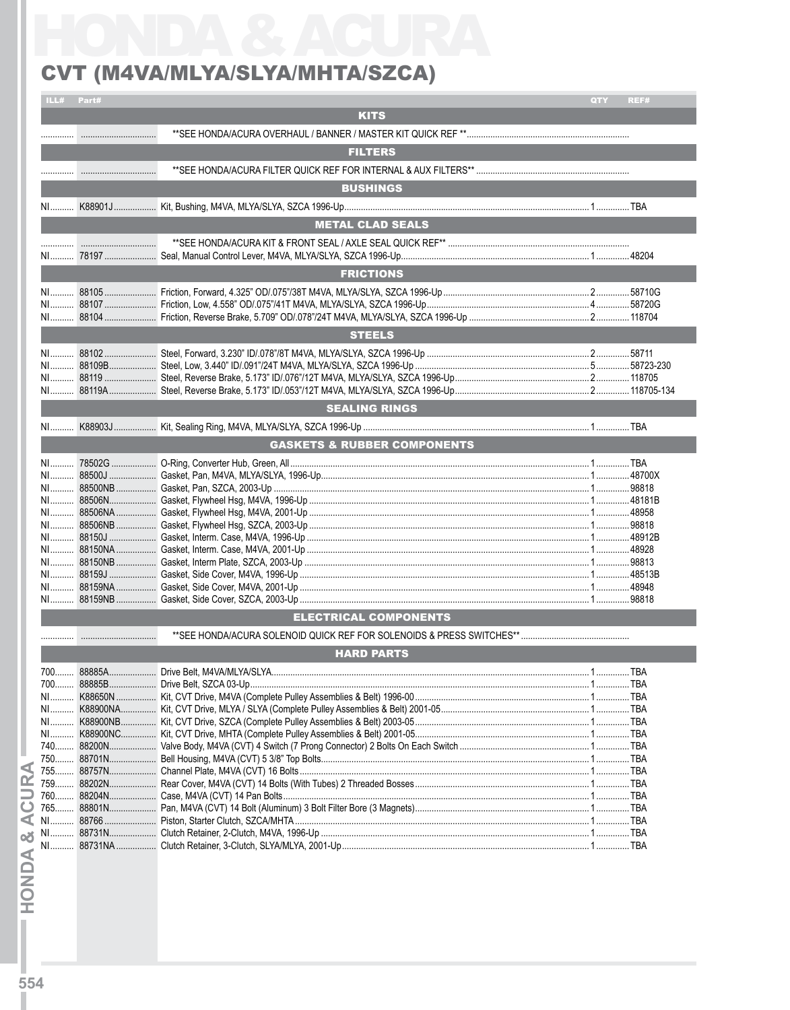## CVT (M4VA/MLYA/SLYA/MHTA/SZCA)

|            | LL# Part# |                                        | QTY | REF#       |
|------------|-----------|----------------------------------------|-----|------------|
|            |           | <b>KITS</b>                            |     |            |
|            |           |                                        |     |            |
|            |           |                                        |     |            |
|            |           | <b>FILTERS</b>                         |     |            |
|            |           |                                        |     |            |
|            |           | <b>BUSHINGS</b>                        |     |            |
| NI         |           |                                        |     |            |
|            |           |                                        |     |            |
|            |           | <b>METAL CLAD SEALS</b>                |     |            |
|            |           |                                        |     |            |
|            |           |                                        |     |            |
|            |           | <b>FRICTIONS</b>                       |     |            |
|            |           |                                        |     |            |
|            |           |                                        |     |            |
|            |           |                                        |     |            |
|            |           | <b>STEELS</b>                          |     |            |
|            |           |                                        |     |            |
|            |           |                                        |     |            |
|            |           |                                        |     |            |
|            |           |                                        |     |            |
|            |           |                                        |     |            |
|            |           | <b>SEALING RINGS</b>                   |     |            |
|            |           |                                        |     |            |
|            |           | <b>GASKETS &amp; RUBBER COMPONENTS</b> |     |            |
|            |           |                                        |     |            |
|            |           |                                        |     |            |
|            |           |                                        |     |            |
|            |           |                                        |     |            |
|            |           |                                        |     |            |
|            |           |                                        |     |            |
|            |           |                                        |     |            |
|            |           |                                        |     |            |
|            |           |                                        |     |            |
|            |           |                                        |     |            |
|            |           |                                        |     |            |
|            |           |                                        |     |            |
|            |           | <b>ELECTRICAL COMPONENTS</b>           |     |            |
|            |           |                                        |     |            |
|            |           |                                        |     |            |
|            |           | <b>HARD PARTS</b>                      |     |            |
|            |           |                                        |     | <b>TRA</b> |
|            |           |                                        |     |            |
| NI<br>$N1$ |           |                                        |     |            |
| NI         |           |                                        |     |            |
|            |           |                                        |     |            |
|            |           |                                        |     |            |
|            |           |                                        |     |            |
| $755$      |           |                                        |     |            |
| 759        |           |                                        |     |            |
|            |           |                                        |     |            |
|            |           |                                        |     |            |
|            |           |                                        |     |            |
|            |           |                                        |     |            |
| න්<br>NI   |           |                                        |     |            |